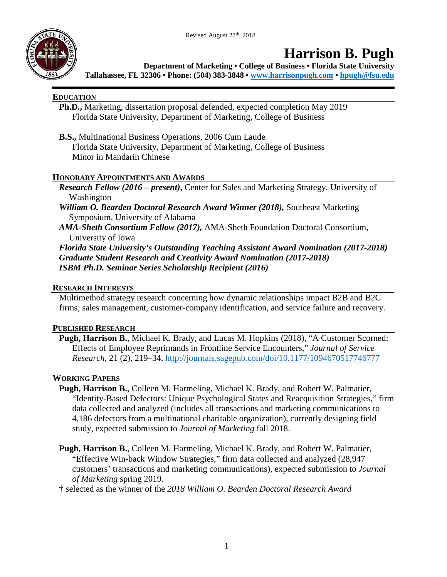Revised August 27<sup>th</sup>, 2018



## **Harrison B. Pugh**

**Department of Marketing • College of Business • Florida State University Tallahassee, FL 32306 • Phone: (504) 383-3848 • [www.harrisonpugh.com](http://www.harrisonpugh.com/) • [hpugh@fsu.edu](mailto:hpugh@fsu.edu)**

## **EDUCATION**

- **Ph.D.,** Marketing, dissertation proposal defended, expected completion May 2019 Florida State University, Department of Marketing, College of Business
- **B.S.,** Multinational Business Operations, 2006 Cum Laude Florida State University, Department of Marketing, College of Business Minor in Mandarin Chinese

## **HONORARY APPOINTMENTS AND AWARDS**

- *Research Fellow (2016 – present)***,** Center for Sales and Marketing Strategy, University of Washington
- *William O. Bearden Doctoral Research Award Winner (2018),* Southeast Marketing Symposium, University of Alabama
- *AMA-Sheth Consortium Fellow (2017),* AMA-Sheth Foundation Doctoral Consortium, University of Iowa

*Florida State University's Outstanding Teaching Assistant Award Nomination (2017-2018) Graduate Student Research and Creativity Award Nomination (2017-2018) ISBM Ph.D. Seminar Series Scholarship Recipient (2016)*

## **RESEARCH INTERESTS**

Multimethod strategy research concerning how dynamic relationships impact B2B and B2C firms; sales management, customer-company identification, and service failure and recovery.

## **PUBLISHED RESEARCH**

**Pugh, Harrison B.**, Michael K. Brady, and Lucas M. Hopkins (2018), "A Customer Scorned: Effects of Employee Reprimands in Frontline Service Encounters," *Journal of Service Research*, 21 (2), 219–34. <http://journals.sagepub.com/doi/10.1177/1094670517746777>

## **WORKING PAPERS**

- **Pugh, Harrison B.**, Colleen M. Harmeling, Michael K. Brady, and Robert W. Palmatier, "Identity-Based Defectors: Unique Psychological States and Reacquisition Strategies," firm data collected and analyzed (includes all transactions and marketing communications to 4,186 defectors from a multinational charitable organization), currently designing field study, expected submission to *Journal of Marketing* fall 2018.
- **Pugh, Harrison B.**, Colleen M. Harmeling, Michael K. Brady, and Robert W. Palmatier, "Effective Win-back Window Strategies," firm data collected and analyzed (28,947 customers' transactions and marketing communications), expected submission to *Journal of Marketing* spring 2019.
- † selected as the winner of the *2018 William O. Bearden Doctoral Research Award*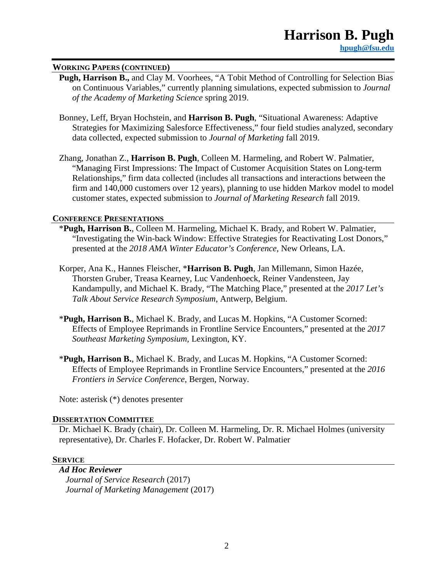#### **WORKING PAPERS (CONTINUED)**

- **Pugh, Harrison B.,** and Clay M. Voorhees, "A Tobit Method of Controlling for Selection Bias on Continuous Variables," currently planning simulations, expected submission to *Journal of the Academy of Marketing Science* spring 2019.
- Bonney, Leff, Bryan Hochstein, and **Harrison B. Pugh**, "Situational Awareness: Adaptive Strategies for Maximizing Salesforce Effectiveness," four field studies analyzed, secondary data collected, expected submission to *Journal of Marketing* fall 2019.
- Zhang, Jonathan Z., **Harrison B. Pugh**, Colleen M. Harmeling, and Robert W. Palmatier, "Managing First Impressions: The Impact of Customer Acquisition States on Long-term Relationships," firm data collected (includes all transactions and interactions between the firm and 140,000 customers over 12 years), planning to use hidden Markov model to model customer states, expected submission to *Journal of Marketing Research* fall 2019.

#### **CONFERENCE PRESENTATIONS**

- \***Pugh, Harrison B.**, Colleen M. Harmeling, Michael K. Brady, and Robert W. Palmatier, "Investigating the Win-back Window: Effective Strategies for Reactivating Lost Donors," presented at the *2018 AMA Winter Educator's Conference,* New Orleans, LA.
- Korper, Ana K., Hannes Fleischer, \***Harrison B. Pugh**, Jan Millemann, Simon Hazée, Thorsten Gruber, Treasa Kearney, Luc Vandenhoeck, Reiner Vandensteen, Jay Kandampully, and Michael K. Brady, "The Matching Place," presented at the *2017 Let's Talk About Service Research Symposium*, Antwerp, Belgium.
- \***Pugh, Harrison B.**, Michael K. Brady, and Lucas M. Hopkins, "A Customer Scorned: Effects of Employee Reprimands in Frontline Service Encounters," presented at the *2017 Southeast Marketing Symposium,* Lexington, KY.
- \***Pugh, Harrison B.**, Michael K. Brady, and Lucas M. Hopkins, "A Customer Scorned: Effects of Employee Reprimands in Frontline Service Encounters," presented at the *2016 Frontiers in Service Conference,* Bergen, Norway.

Note: asterisk (\*) denotes presenter

#### **DISSERTATION COMMITTEE**

Dr. Michael K. Brady (chair), Dr. Colleen M. Harmeling, Dr. R. Michael Holmes (university representative), Dr. Charles F. Hofacker, Dr. Robert W. Palmatier

#### **SERVICE**

*Ad Hoc Reviewer Journal of Service Research* (2017) *Journal of Marketing Management* (2017)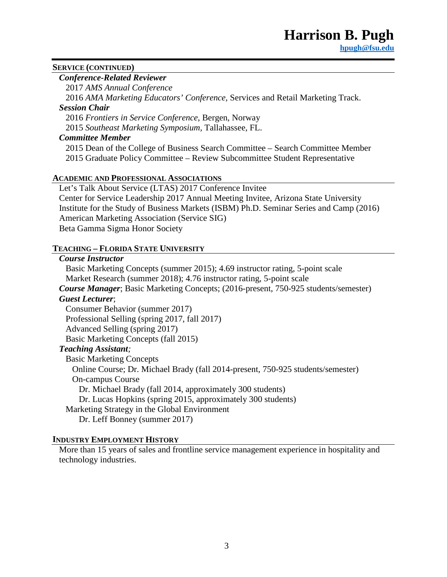## **SERVICE (CONTINUED)**

## *Conference-Related Reviewer*

2017 *AMS Annual Conference*

2016 *AMA Marketing Educators' Conference,* Services and Retail Marketing Track.

## *Session Chair*

2016 *Frontiers in Service Conference*, Bergen, Norway

2015 *Southeast Marketing Symposium,* Tallahassee, FL.

## *Committee Member*

2015 Dean of the College of Business Search Committee – Search Committee Member 2015 Graduate Policy Committee – Review Subcommittee Student Representative

## **ACADEMIC AND PROFESSIONAL ASSOCIATIONS**

Let's Talk About Service (LTAS) 2017 Conference Invitee Center for Service Leadership 2017 Annual Meeting Invitee, Arizona State University Institute for the Study of Business Markets (ISBM) Ph.D. Seminar Series and Camp (2016) American Marketing Association (Service SIG) Beta Gamma Sigma Honor Society

## **TEACHING – FLORIDA STATE UNIVERSITY**

### *Course Instructor*

Basic Marketing Concepts (summer 2015); 4.69 instructor rating, 5-point scale Market Research (summer 2018); 4.76 instructor rating, 5-point scale

*Course Manager*; Basic Marketing Concepts; (2016-present, 750-925 students/semester) *Guest Lecturer*;

Consumer Behavior (summer 2017)

Professional Selling (spring 2017, fall 2017)

Advanced Selling (spring 2017)

Basic Marketing Concepts (fall 2015)

## *Teaching Assistant;*

Basic Marketing Concepts Online Course; Dr. Michael Brady (fall 2014-present, 750-925 students/semester) On-campus Course Dr. Michael Brady (fall 2014, approximately 300 students) Dr. Lucas Hopkins (spring 2015, approximately 300 students) Marketing Strategy in the Global Environment Dr. Leff Bonney (summer 2017)

## **INDUSTRY EMPLOYMENT HISTORY**

More than 15 years of sales and frontline service management experience in hospitality and technology industries.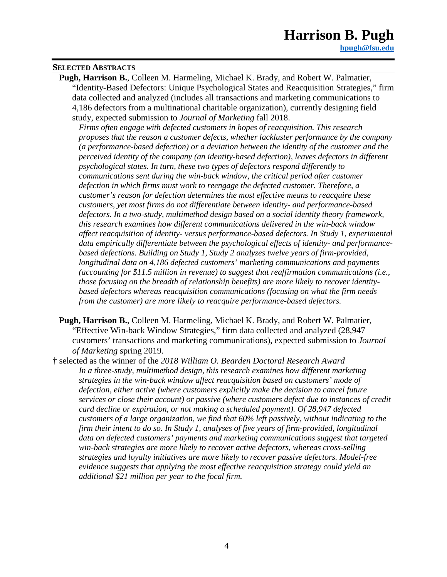# **Harrison B. Pugh**

#### **SELECTED ABSTRACTS**

**Pugh, Harrison B.**, Colleen M. Harmeling, Michael K. Brady, and Robert W. Palmatier, "Identity-Based Defectors: Unique Psychological States and Reacquisition Strategies," firm data collected and analyzed (includes all transactions and marketing communications to 4,186 defectors from a multinational charitable organization), currently designing field study, expected submission to *Journal of Marketing* fall 2018.

*Firms often engage with defected customers in hopes of reacquisition. This research proposes that the reason a customer defects, whether lackluster performance by the company (a performance-based defection) or a deviation between the identity of the customer and the perceived identity of the company (an identity-based defection), leaves defectors in different psychological states. In turn, these two types of defectors respond differently to communications sent during the win-back window, the critical period after customer defection in which firms must work to reengage the defected customer. Therefore, a customer's reason for defection determines the most effective means to reacquire these customers, yet most firms do not differentiate between identity- and performance-based defectors. In a two-study, multimethod design based on a social identity theory framework, this research examines how different communications delivered in the win-back window affect reacquisition of identity- versus performance-based defectors. In Study 1, experimental data empirically differentiate between the psychological effects of identity- and performancebased defections. Building on Study 1, Study 2 analyzes twelve years of firm-provided, longitudinal data on 4,186 defected customers' marketing communications and payments (accounting for \$11.5 million in revenue) to suggest that reaffirmation communications (i.e., those focusing on the breadth of relationship benefits) are more likely to recover identitybased defectors whereas reacquisition communications (focusing on what the firm needs from the customer) are more likely to reacquire performance-based defectors.*

- **Pugh, Harrison B.**, Colleen M. Harmeling, Michael K. Brady, and Robert W. Palmatier, "Effective Win-back Window Strategies," firm data collected and analyzed (28,947 customers' transactions and marketing communications), expected submission to *Journal of Marketing* spring 2019.
- † selected as the winner of the *2018 William O. Bearden Doctoral Research Award In a three-study, multimethod design, this research examines how different marketing strategies in the win-back window affect reacquisition based on customers' mode of defection, either active (where customers explicitly make the decision to cancel future services or close their account) or passive (where customers defect due to instances of credit card decline or expiration, or not making a scheduled payment). Of 28,947 defected customers of a large organization, we find that 60% left passively, without indicating to the firm their intent to do so. In Study 1, analyses of five years of firm-provided, longitudinal data on defected customers' payments and marketing communications suggest that targeted win-back strategies are more likely to recover active defectors, whereas cross-selling strategies and loyalty initiatives are more likely to recover passive defectors. Model-free evidence suggests that applying the most effective reacquisition strategy could yield an additional \$21 million per year to the focal firm.*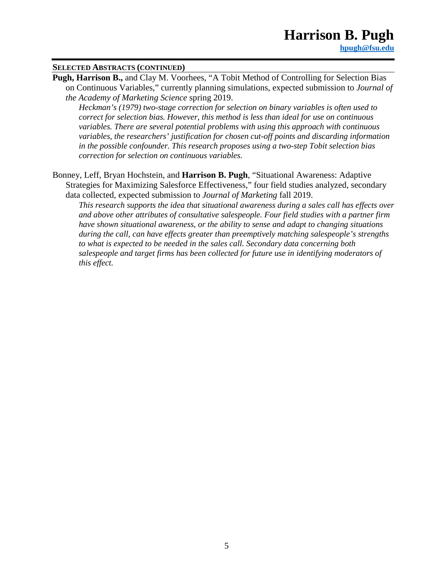#### **SELECTED ABSTRACTS (CONTINUED)**

**Pugh, Harrison B.,** and Clay M. Voorhees, "A Tobit Method of Controlling for Selection Bias on Continuous Variables," currently planning simulations, expected submission to *Journal of the Academy of Marketing Science* spring 2019.

*Heckman's (1979) two-stage correction for selection on binary variables is often used to correct for selection bias. However, this method is less than ideal for use on continuous variables. There are several potential problems with using this approach with continuous variables, the researchers' justification for chosen cut-off points and discarding information in the possible confounder. This research proposes using a two-step Tobit selection bias correction for selection on continuous variables.* 

Bonney, Leff, Bryan Hochstein, and **Harrison B. Pugh**, "Situational Awareness: Adaptive Strategies for Maximizing Salesforce Effectiveness," four field studies analyzed, secondary data collected, expected submission to *Journal of Marketing* fall 2019.

*This research supports the idea that situational awareness during a sales call has effects over and above other attributes of consultative salespeople. Four field studies with a partner firm have shown situational awareness, or the ability to sense and adapt to changing situations during the call, can have effects greater than preemptively matching salespeople's strengths to what is expected to be needed in the sales call. Secondary data concerning both salespeople and target firms has been collected for future use in identifying moderators of this effect.*